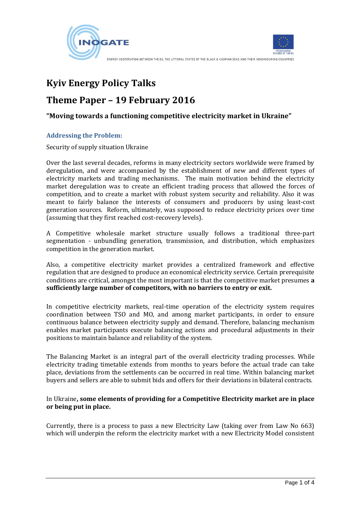



ENERGY COOPERATION BETWEEN THE EU. THE LITTORAL STATES OF THE BLACK & CASPIAN SEAS AND THEIR NEIGHBOURING COUNTRIES

# **Kyiv Energy Policy Talks**

## **Theme Paper – 19 February 2016**

## **"Moving towards a functioning competitive electricity market in Ukraine"**

#### **Addressing the Problem:**

Security of supply situation Ukraine

Over the last several decades, reforms in many electricity sectors worldwide were framed by deregulation, and were accompanied by the establishment of new and different types of electricity markets and trading mechanisms. The main motivation behind the electricity market deregulation was to create an efficient trading process that allowed the forces of competition, and to create a market with robust system security and reliability. Also it was meant to fairly balance the interests of consumers and producers by using least-cost generation sources. Reform, ultimately, was supposed to reduce electricity prices over time (assuming that they first reached cost-recovery levels).

A Competitive wholesale market structure usually follows a traditional three-part segmentation - unbundling generation, transmission, and distribution, which emphasizes competition in the generation market.

Also, a competitive electricity market provides a centralized framework and effective regulation that are designed to produce an economical electricity service. Certain prerequisite conditions are critical, amongst the most important is that the competitive market presumes **a sufficiently large number of competitors, with no barriers to entry or exit.**

In competitive electricity markets, real-time operation of the electricity system requires coordination between TSO and MO, and among market participants, in order to ensure continuous balance between electricity supply and demand. Therefore, balancing mechanism enables market participants execute balancing actions and procedural adjustments in their positions to maintain balance and reliability of the system.

The Balancing Market is an integral part of the overall electricity trading processes. While electricity trading timetable extends from months to years before the actual trade can take place, deviations from the settlements can be occurred in real time. Within balancing market buyers and sellers are able to submit bids and offers for their deviations in bilateral contracts.

In Ukraine**, some elements of providing for a Competitive Electricity market are in place or being put in place.**

Currently, there is a process to pass a new Electricity Law (taking over from Law No 663) which will underpin the reform the electricity market with a new Electricity Model consistent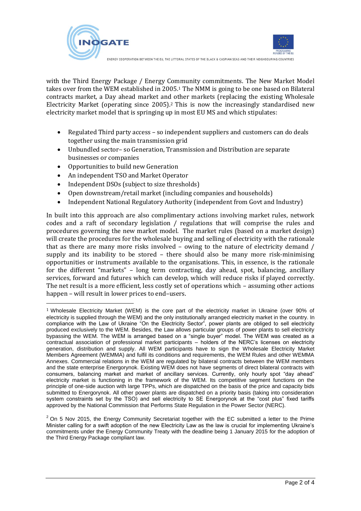



ENERGY COOPERATION BETWEEN THE EU. THE LITTORAL STATES OF THE BLACK & CASPIAN SEAS AND THEIR NEIGHBOURING COUNTRIES

with the Third Energy Package / Energy Community commitments. The New Market Model takes over from the WEM established in 2005.<sup>1</sup> The NMM is going to be one based on Bilateral contracts market, a Day ahead market and other markets (replacing the existing Wholesale Electricity Market (operating since 2005).<sup>2</sup> This is now the increasingly standardised new electricity market model that is springing up in most EU MS and which stipulates:

- Regulated Third party access so independent suppliers and customers can do deals together using the main transmission grid
- Unbundled sector– so Generation, Transmission and Distribution are separate businesses or companies
- Opportunities to build new Generation

 $\overline{a}$ 

- An independent TSO and Market Operator
- Independent DSOs (subject to size thresholds)
- Open downstream/retail market (including companies and households)
- Independent National Regulatory Authority (independent from Govt and Industry)

In built into this approach are also complimentary actions involving market rules, network codes and a raft of secondary legislation / regulations that will comprise the rules and procedures governing the new market model. The market rules (based on a market design) will create the procedures for the wholesale buying and selling of electricity with the rationale that as there are many more risks involved – owing to the nature of electricity demand / supply and its inability to be stored – there should also be many more risk-minimising opportunities or instruments available to the organisations. This, in essence, is the rationale for the different "markets" – long term contracting, day ahead, spot, balancing, ancillary services, forward and futures which can develop, which will reduce risks if played correctly. The net result is a more efficient, less costly set of operations which – assuming other actions happen – will result in lower prices to end–users.

<sup>1</sup> Wholesale Electricity Market (WEM) is the core part of the electricity market in Ukraine (over 90% of electricity is supplied through the WEM) and the only institutionally arranged electricity market in the country. In compliance with the Law of Ukraine "On the Electricity Sector", power plants are obliged to sell electricity produced exclusively to the WEM. Besides, the Law allows particular groups of power plants to sell electricity bypassing the WEM. The WEM is arranged based on a "single buyer" model. The WEM was created as a contractual association of professional market participants – holders of the NERC's licenses on electricity generation, distribution and supply. All WEM participants have to sign the Wholesale Electricity Market Members Agreement (WEMMA) and fulfil its conditions and requirements, the WEM Rules and other WEMMA Annexes. Commercial relations in the WEM are regulated by bilateral contracts between the WEM members and the state enterprise Energorynok. Existing WEM does not have segments of direct bilateral contracts with consumers, balancing market and market of ancillary services. Currently, only hourly spot "day ahead" electricity market is functioning in the framework of the WEM. Its competitive segment functions on the principle of one-side auction with large TPPs, which are dispatched on the basis of the price and capacity bids submitted to Energorynok. All other power plants are dispatched on a priority basis (taking into consideration system constraints set by the TSO) and sell electricity to SE Energorynok at the "cost plus" fixed tariffs approved by the National Commission that Performs State Regulation in the Power Sector (NERC).

 $2$  On 5 Nov 2015, the Energy Community Secretariat together with the EC submitted a letter to the Prime Minister calling for a swift adoption of the new Electricity Law as the law is crucial for implementing Ukraine's commitments under the Energy Community Treaty with the deadline being 1 January 2015 for the adoption of the Third Energy Package compliant law.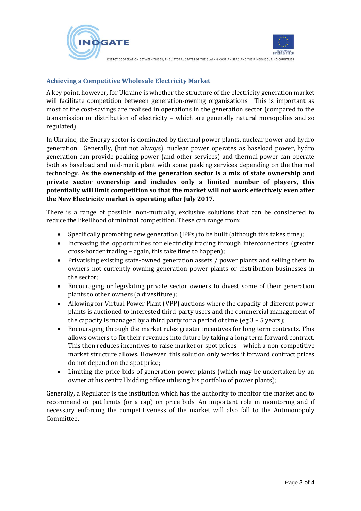



ENERGY COOPERATION BETWEEN THE EU, THE LITTORAL STATES OF THE BLACK & CASPIAN SEAS AND THEIR NEIGHBOURING COUNTRIES

### **Achieving a Competitive Wholesale Electricity Market**

A key point, however, for Ukraine is whether the structure of the electricity generation market will facilitate competition between generation-owning organisations. This is important as most of the cost-savings are realised in operations in the generation sector (compared to the transmission or distribution of electricity – which are generally natural monopolies and so regulated).

In Ukraine, the Energy sector is dominated by thermal power plants, nuclear power and hydro generation. Generally, (but not always), nuclear power operates as baseload power, hydro generation can provide peaking power (and other services) and thermal power can operate both as baseload and mid-merit plant with some peaking services depending on the thermal technology. **As the ownership of the generation sector is a mix of state ownership and private sector ownership and includes only a limited number of players, this potentially will limit competition so that the market will not work effectively even after the New Electricity market is operating after July 2017.**

There is a range of possible, non-mutually, exclusive solutions that can be considered to reduce the likelihood of minimal competition. These can range from:

- Specifically promoting new generation (IPPs) to be built (although this takes time);
- Increasing the opportunities for electricity trading through interconnectors (greater cross-border trading – again, this take time to happen);
- Privatising existing state-owned generation assets / power plants and selling them to owners not currently owning generation power plants or distribution businesses in the sector;
- Encouraging or legislating private sector owners to divest some of their generation plants to other owners (a divestiture);
- Allowing for Virtual Power Plant (VPP) auctions where the capacity of different power plants is auctioned to interested third-party users and the commercial management of the capacity is managed by a third party for a period of time (eg 3 – 5 years);
- Encouraging through the market rules greater incentives for long term contracts. This allows owners to fix their revenues into future by taking a long term forward contract. This then reduces incentives to raise market or spot prices – which a non-competitive market structure allows. However, this solution only works if forward contract prices do not depend on the spot price;
- Limiting the price bids of generation power plants (which may be undertaken by an owner at his central bidding office utilising his portfolio of power plants);

Generally, a Regulator is the institution which has the authority to monitor the market and to recommend or put limits (or a cap) on price bids. An important role in monitoring and if necessary enforcing the competitiveness of the market will also fall to the Antimonopoly Committee.